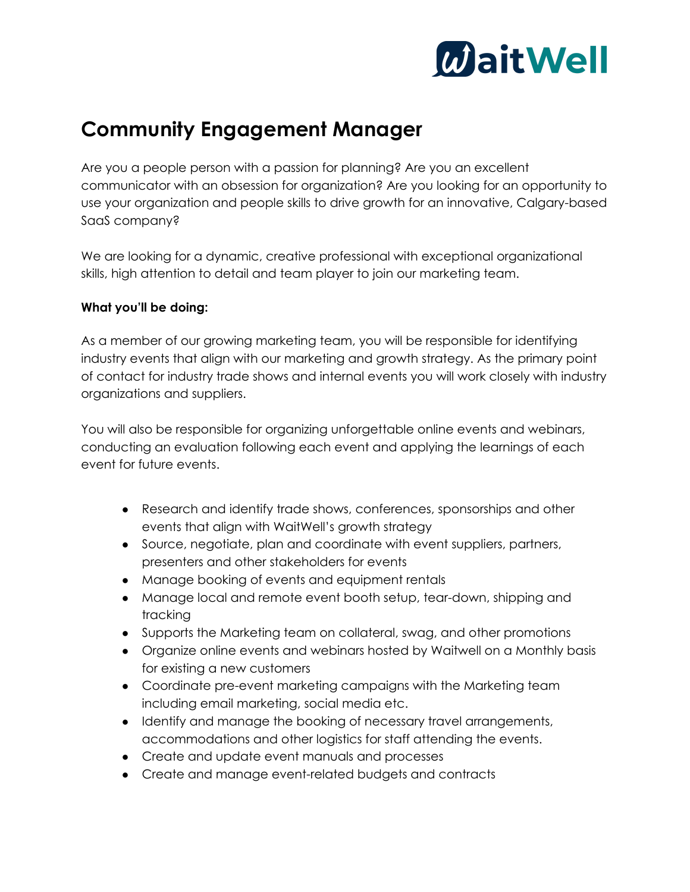

## **Community Engagement Manager**

Are you a people person with a passion for planning? Are you an excellent communicator with an obsession for organization? Are you looking for an opportunity to use your organization and people skills to drive growth for an innovative, Calgary-based SaaS company?

We are looking for a dynamic, creative professional with exceptional organizational skills, high attention to detail and team player to join our marketing team.

### **What you'll be doing:**

As a member of our growing marketing team, you will be responsible for identifying industry events that align with our marketing and growth strategy. As the primary point of contact for industry trade shows and internal events you will work closely with industry organizations and suppliers.

You will also be responsible for organizing unforgettable online events and webinars, conducting an evaluation following each event and applying the learnings of each event for future events.

- Research and identify trade shows, conferences, sponsorships and other events that align with WaitWell's growth strategy
- Source, negotiate, plan and coordinate with event suppliers, partners, presenters and other stakeholders for events
- Manage booking of events and equipment rentals
- Manage local and remote event booth setup, tear-down, shipping and tracking
- Supports the Marketing team on collateral, swag, and other promotions
- Organize online events and webinars hosted by Waitwell on a Monthly basis for existing a new customers
- Coordinate pre-event marketing campaigns with the Marketing team including email marketing, social media etc.
- Identify and manage the booking of necessary travel arrangements, accommodations and other logistics for staff attending the events.
- Create and update event manuals and processes
- Create and manage event-related budgets and contracts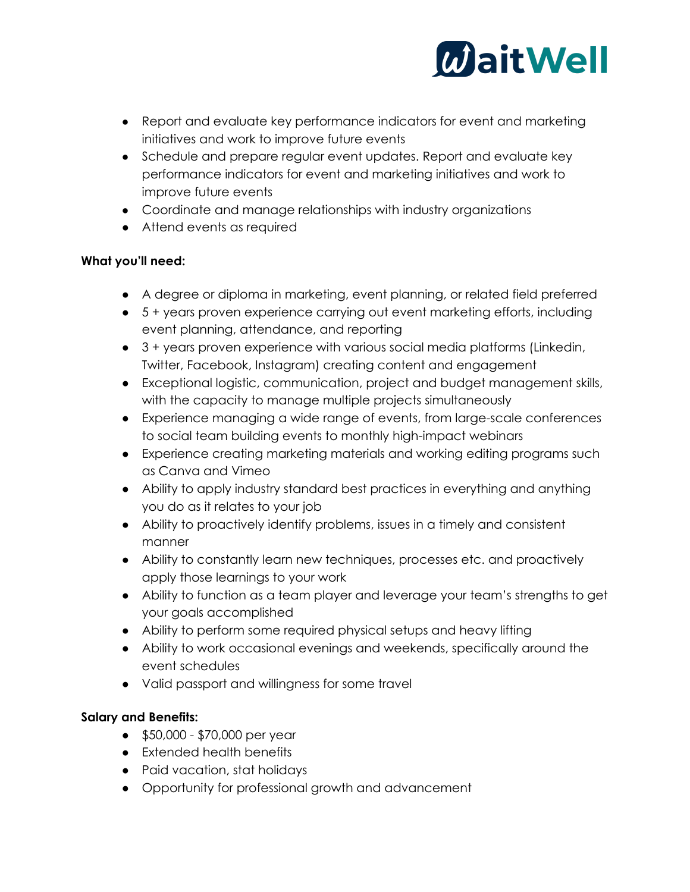

- Report and evaluate key performance indicators for event and marketing initiatives and work to improve future events
- Schedule and prepare regular event updates. Report and evaluate key performance indicators for event and marketing initiatives and work to improve future events
- Coordinate and manage relationships with industry organizations
- Attend events as required

### **What you'll need:**

- A degree or diploma in marketing, event planning, or related field preferred
- 5 + years proven experience carrying out event marketing efforts, including event planning, attendance, and reporting
- 3 + years proven experience with various social media platforms (Linkedin, Twitter, Facebook, Instagram) creating content and engagement
- Exceptional logistic, communication, project and budget management skills, with the capacity to manage multiple projects simultaneously
- Experience managing a wide range of events, from large-scale conferences to social team building events to monthly high-impact webinars
- Experience creating marketing materials and working editing programs such as Canva and Vimeo
- Ability to apply industry standard best practices in everything and anything you do as it relates to your job
- Ability to proactively identify problems, issues in a timely and consistent manner
- Ability to constantly learn new techniques, processes etc. and proactively apply those learnings to your work
- Ability to function as a team player and leverage your team's strengths to get your goals accomplished
- Ability to perform some required physical setups and heavy lifting
- Ability to work occasional evenings and weekends, specifically around the event schedules
- Valid passport and willingness for some travel

### **Salary and Benefits:**

- \$50,000 \$70,000 per year
- Extended health benefits
- Paid vacation, stat holidays
- Opportunity for professional growth and advancement